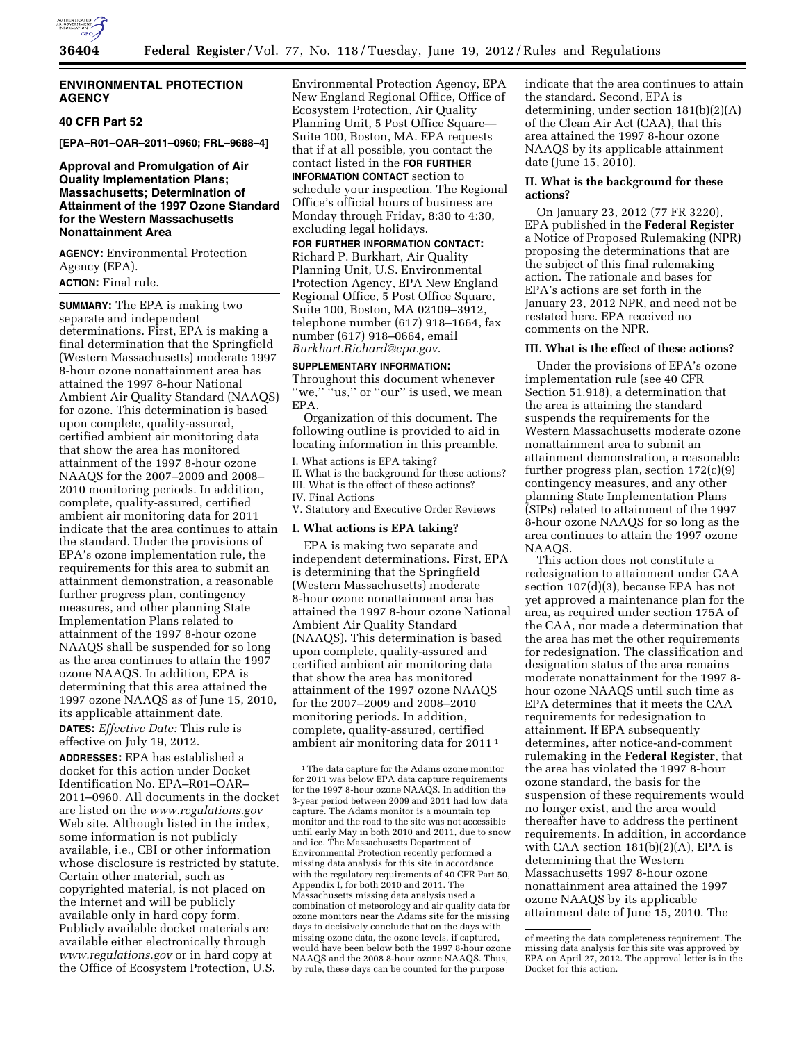

# **ENVIRONMENTAL PROTECTION AGENCY**

# **40 CFR Part 52**

**[EPA–R01–OAR–2011–0960; FRL–9688–4]** 

# **Approval and Promulgation of Air Quality Implementation Plans; Massachusetts; Determination of Attainment of the 1997 Ozone Standard for the Western Massachusetts Nonattainment Area**

**AGENCY:** Environmental Protection Agency (EPA).

# **ACTION:** Final rule.

**SUMMARY:** The EPA is making two separate and independent determinations. First, EPA is making a final determination that the Springfield (Western Massachusetts) moderate 1997 8-hour ozone nonattainment area has attained the 1997 8-hour National Ambient Air Quality Standard (NAAQS) for ozone. This determination is based upon complete, quality-assured, certified ambient air monitoring data that show the area has monitored attainment of the 1997 8-hour ozone NAAQS for the 2007–2009 and 2008– 2010 monitoring periods. In addition, complete, quality-assured, certified ambient air monitoring data for 2011 indicate that the area continues to attain the standard. Under the provisions of EPA's ozone implementation rule, the requirements for this area to submit an attainment demonstration, a reasonable further progress plan, contingency measures, and other planning State Implementation Plans related to attainment of the 1997 8-hour ozone NAAQS shall be suspended for so long as the area continues to attain the 1997 ozone NAAQS. In addition, EPA is determining that this area attained the 1997 ozone NAAQS as of June 15, 2010, its applicable attainment date.

**DATES:** *Effective Date:* This rule is effective on July 19, 2012.

**ADDRESSES:** EPA has established a docket for this action under Docket Identification No. EPA–R01–OAR– 2011–0960. All documents in the docket are listed on the *[www.regulations.gov](http://www.regulations.gov)*  Web site. Although listed in the index, some information is not publicly available, i.e., CBI or other information whose disclosure is restricted by statute. Certain other material, such as copyrighted material, is not placed on the Internet and will be publicly available only in hard copy form. Publicly available docket materials are available either electronically through *[www.regulations.gov](http://www.regulations.gov)* or in hard copy at the Office of Ecosystem Protection, U.S.

Environmental Protection Agency, EPA New England Regional Office, Office of Ecosystem Protection, Air Quality Planning Unit, 5 Post Office Square— Suite 100, Boston, MA. EPA requests that if at all possible, you contact the contact listed in the **FOR FURTHER INFORMATION CONTACT** section to

schedule your inspection. The Regional Office's official hours of business are Monday through Friday, 8:30 to 4:30, excluding legal holidays.

**FOR FURTHER INFORMATION CONTACT:**  Richard P. Burkhart, Air Quality Planning Unit, U.S. Environmental Protection Agency, EPA New England Regional Office, 5 Post Office Square, Suite 100, Boston, MA 02109–3912, telephone number (617) 918–1664, fax number (617) 918–0664, email *[Burkhart.Richard@epa.gov](mailto:Burkhart.Richard@epa.gov)*.

#### **SUPPLEMENTARY INFORMATION:**

Throughout this document whenever "we," "us," or "our" is used, we mean EPA.

Organization of this document. The following outline is provided to aid in locating information in this preamble.

I. What actions is EPA taking? II. What is the background for these actions? III. What is the effect of these actions? IV. Final Actions

V. Statutory and Executive Order Reviews

#### **I. What actions is EPA taking?**

EPA is making two separate and independent determinations. First, EPA is determining that the Springfield (Western Massachusetts) moderate 8-hour ozone nonattainment area has attained the 1997 8-hour ozone National Ambient Air Quality Standard (NAAQS). This determination is based upon complete, quality-assured and certified ambient air monitoring data that show the area has monitored attainment of the 1997 ozone NAAQS for the 2007–2009 and 2008–2010 monitoring periods. In addition, complete, quality-assured, certified ambient air monitoring data for 2011 1

indicate that the area continues to attain the standard. Second, EPA is determining, under section 181(b)(2)(A) of the Clean Air Act (CAA), that this area attained the 1997 8-hour ozone NAAQS by its applicable attainment date (June 15, 2010).

#### **II. What is the background for these actions?**

On January 23, 2012 (77 FR 3220), EPA published in the **Federal Register**  a Notice of Proposed Rulemaking (NPR) proposing the determinations that are the subject of this final rulemaking action. The rationale and bases for EPA's actions are set forth in the January 23, 2012 NPR, and need not be restated here. EPA received no comments on the NPR.

#### **III. What is the effect of these actions?**

Under the provisions of EPA's ozone implementation rule (see 40 CFR Section 51.918), a determination that the area is attaining the standard suspends the requirements for the Western Massachusetts moderate ozone nonattainment area to submit an attainment demonstration, a reasonable further progress plan, section 172(c)(9) contingency measures, and any other planning State Implementation Plans (SIPs) related to attainment of the 1997 8-hour ozone NAAQS for so long as the area continues to attain the 1997 ozone NAAQS.

This action does not constitute a redesignation to attainment under CAA section 107(d)(3), because EPA has not yet approved a maintenance plan for the area, as required under section 175A of the CAA, nor made a determination that the area has met the other requirements for redesignation. The classification and designation status of the area remains moderate nonattainment for the 1997 8 hour ozone NAAQS until such time as EPA determines that it meets the CAA requirements for redesignation to attainment. If EPA subsequently determines, after notice-and-comment rulemaking in the **Federal Register**, that the area has violated the 1997 8-hour ozone standard, the basis for the suspension of these requirements would no longer exist, and the area would thereafter have to address the pertinent requirements. In addition, in accordance with CAA section  $181(b)(2)(A)$ , EPA is determining that the Western Massachusetts 1997 8-hour ozone nonattainment area attained the 1997 ozone NAAQS by its applicable attainment date of June 15, 2010. The

<sup>1</sup>The data capture for the Adams ozone monitor for 2011 was below EPA data capture requirements for the 1997 8-hour ozone NAAQS. In addition the 3-year period between 2009 and 2011 had low data capture. The Adams monitor is a mountain top monitor and the road to the site was not accessible until early May in both 2010 and 2011, due to snow and ice. The Massachusetts Department of Environmental Protection recently performed a missing data analysis for this site in accordance with the regulatory requirements of 40 CFR Part 50, Appendix I, for both 2010 and 2011. The Massachusetts missing data analysis used a combination of meteorology and air quality data for ozone monitors near the Adams site for the missing days to decisively conclude that on the days with missing ozone data, the ozone levels, if captured, would have been below both the 1997 8-hour ozone NAAQS and the 2008 8-hour ozone NAAQS. Thus, by rule, these days can be counted for the purpose

of meeting the data completeness requirement. The missing data analysis for this site was approved by EPA on April 27, 2012. The approval letter is in the Docket for this action.